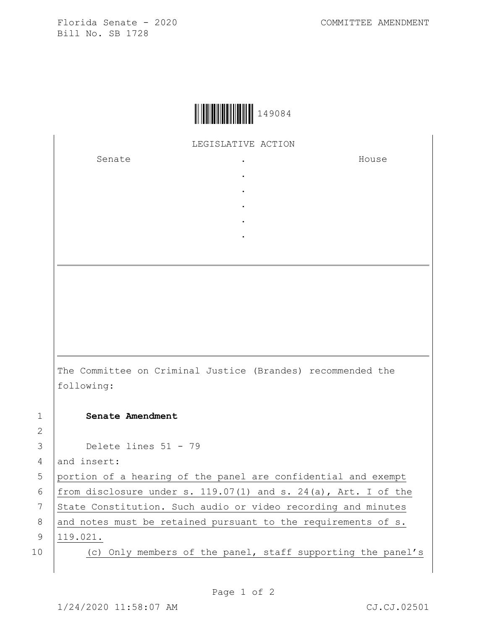Florida Senate - 2020 COMMITTEE AMENDMENT Bill No. SB 1728



LEGISLATIVE ACTION

. . . . .

Senate .

House

The Committee on Criminal Justice (Brandes) recommended the following: 1 **Senate Amendment** 

3 Delete lines 51 - 79

4 and insert:

5 portion of a hearing of the panel are confidential and exempt

6 | from disclosure under s. 119.07(1) and s. 24(a), Art. I of the

7 State Constitution. Such audio or video recording and minutes

8 and notes must be retained pursuant to the requirements of  $s$ .

9 119.021.

2

10 (c) Only members of the panel, staff supporting the panel's